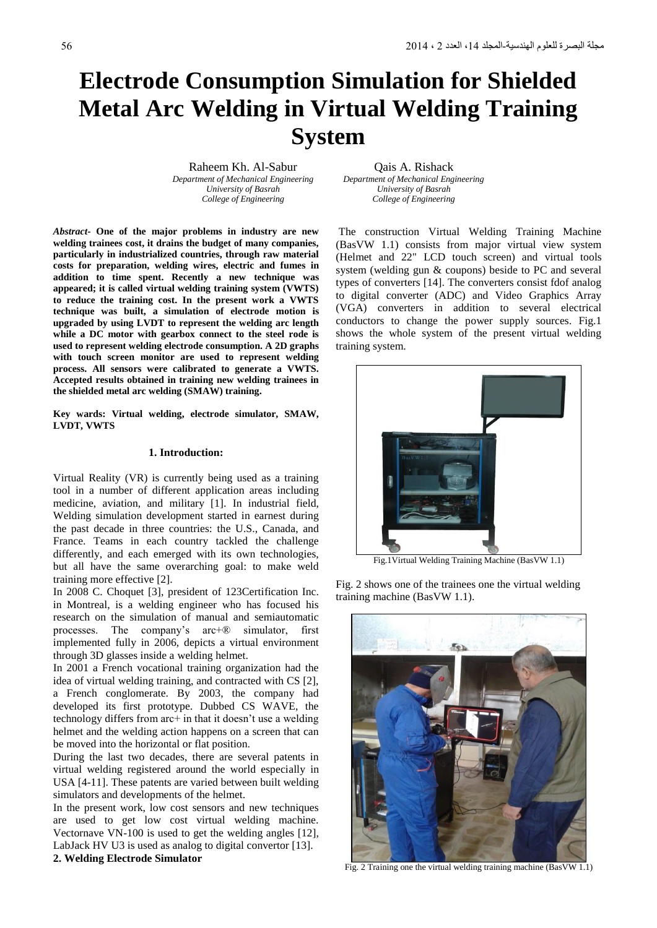# **Electrode Consumption Simulation for Shielded Metal Arc Welding in Virtual Welding Training System**

*Department of Mechanical Engineering Department of Mechanical Engineering University of Basrah University of Basrah*

Raheem Kh. Al-Sabur **Qais A. Rishack** *College of Engineering College of Engineering*

*Abstract***- One of the major problems in industry are new welding trainees cost, it drains the budget of many companies, particularly in industrialized countries, through raw material costs for preparation, welding wires, electric and fumes in addition to time spent. Recently a new technique was appeared; it is called virtual welding training system (VWTS) to reduce the training cost. In the present work a VWTS technique was built, a simulation of electrode motion is upgraded by using LVDT to represent the welding arc length while a DC motor with gearbox connect to the steel rode is used to represent welding electrode consumption. A 2D graphs with touch screen monitor are used to represent welding process. All sensors were calibrated to generate a VWTS. Accepted results obtained in training new welding trainees in the shielded metal arc welding (SMAW) training.**

**Key wards: Virtual welding, electrode simulator, SMAW, LVDT, VWTS**

# **1. Introduction:**

Virtual Reality (VR) is currently being used as a training tool in a number of different application areas including medicine, aviation, and military [1]. In industrial field, Welding simulation development started in earnest during the past decade in three countries: the U.S., Canada, and France. Teams in each country tackled the challenge differently, and each emerged with its own technologies, but all have the same overarching goal: to make weld training more effective [2].

In 2008 C. Choquet [3], president of 123Certification Inc. in Montreal, is a welding engineer who has focused his research on the simulation of manual and semiautomatic processes. The company's arc+® simulator, first implemented fully in 2006, depicts a virtual environment through 3D glasses inside a welding helmet.

In 2001 a French vocational training organization had the idea of virtual welding training, and contracted with CS [2], a French conglomerate. By 2003, the company had developed its first prototype. Dubbed CS WAVE, the technology differs from arc+ in that it doesn't use a welding helmet and the welding action happens on a screen that can be moved into the horizontal or flat position.

During the last two decades, there are several patents in virtual welding registered around the world especially in USA [4-11]. These patents are varied between built welding simulators and developments of the helmet.

In the present work, low cost sensors and new techniques are used to get low cost virtual welding machine. Vectornave VN-100 is used to get the welding angles [12], LabJack HV U3 is used as analog to digital convertor [13]. **2. Welding Electrode Simulator**

The construction Virtual Welding Training Machine (BasVW 1.1) consists from major virtual view system (Helmet and 22" LCD touch screen) and virtual tools system (welding gun & coupons) beside to PC and several types of converters [14]. The converters consist fdof analog to digital converter (ADC) and Video Graphics Array (VGA) converters in addition to several electrical conductors to change the power supply sources. Fig.1 shows the whole system of the present virtual welding training system.



Fig.1Virtual Welding Training Machine (BasVW 1.1)

Fig. 2 shows one of the trainees one the virtual welding training machine (BasVW 1.1).



Fig. 2 Training one the virtual welding training machine (BasVW 1.1)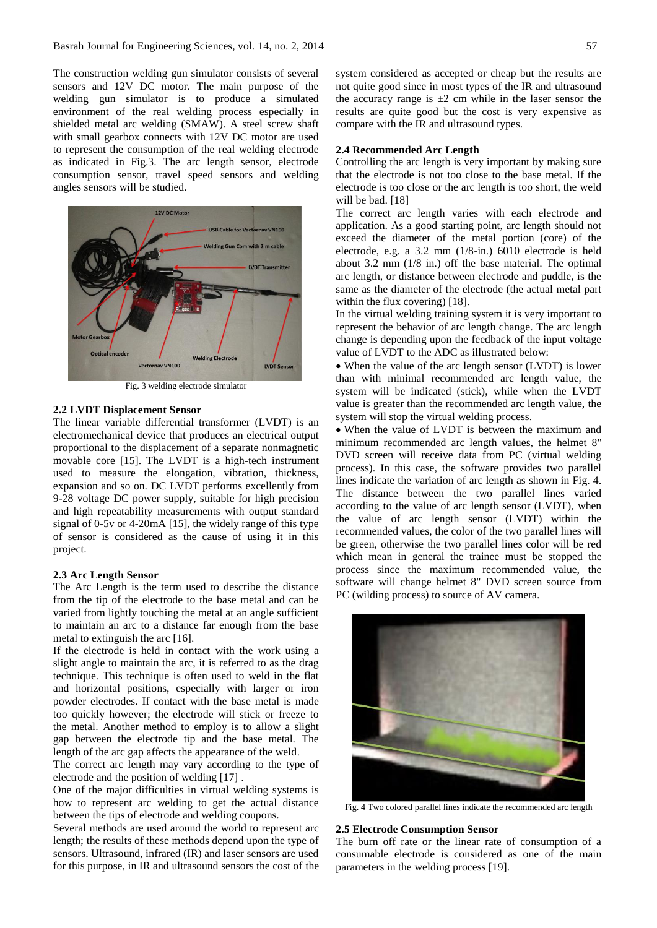The construction welding gun simulator consists of several sensors and 12V DC motor. The main purpose of the welding gun simulator is to produce a simulated environment of the real welding process especially in shielded metal arc welding (SMAW). A steel screw shaft with small gearbox connects with 12V DC motor are used to represent the consumption of the real welding electrode as indicated in Fig.3. The arc length sensor, electrode consumption sensor, travel speed sensors and welding angles sensors will be studied.



Fig. 3 welding electrode simulator

## **2.2 LVDT Displacement Sensor**

The linear variable differential transformer (LVDT) is an electromechanical device that produces an electrical output proportional to the displacement of a separate nonmagnetic movable core [15]. The LVDT is a high-tech instrument used to measure the elongation, vibration, thickness, expansion and so on. DC LVDT performs excellently from 9-28 voltage DC power supply, suitable for high precision and high repeatability measurements with output standard signal of 0-5v or 4-20mA [15], the widely range of this type of sensor is considered as the cause of using it in this project.

## **2.3 Arc Length Sensor**

The Arc Length is the term used to describe the distance from the tip of the electrode to the base metal and can be varied from lightly touching the metal at an angle sufficient to maintain an arc to a distance far enough from the base metal to extinguish the arc [16].

If the electrode is held in contact with the work using a slight angle to maintain the arc, it is referred to as the drag technique. This technique is often used to weld in the flat and horizontal positions, especially with larger or iron powder electrodes. If contact with the base metal is made too quickly however; the electrode will stick or freeze to the metal. Another method to employ is to allow a slight gap between the electrode tip and the base metal. The length of the arc gap affects the appearance of the weld.

The correct arc length may vary according to the type of electrode and the position of welding [17] .

One of the major difficulties in virtual welding systems is how to represent arc welding to get the actual distance between the tips of electrode and welding coupons.

Several methods are used around the world to represent arc length; the results of these methods depend upon the type of sensors. Ultrasound, infrared (IR) and laser sensors are used for this purpose, in IR and ultrasound sensors the cost of the system considered as accepted or cheap but the results are not quite good since in most types of the IR and ultrasound the accuracy range is  $\pm 2$  cm while in the laser sensor the results are quite good but the cost is very expensive as compare with the IR and ultrasound types.

## **2.4 Recommended Arc Length**

Controlling the arc length is very important by making sure that the electrode is not too close to the base metal. If the electrode is too close or the arc length is too short, the weld will be bad. [18]

The correct arc length varies with each electrode and application. As a good starting point, arc length should not exceed the diameter of the metal portion (core) of the electrode, e.g. a 3.2 mm (1/8-in.) 6010 electrode is held about 3.2 mm (1/8 in.) off the base material. The optimal arc length, or distance between electrode and puddle, is the same as the diameter of the electrode (the actual metal part within the flux covering) [18].

In the virtual welding training system it is very important to represent the behavior of arc length change. The arc length change is depending upon the feedback of the input voltage value of LVDT to the ADC as illustrated below:

 When the value of the arc length sensor (LVDT) is lower than with minimal recommended arc length value, the system will be indicated (stick), while when the LVDT value is greater than the recommended arc length value, the system will stop the virtual welding process.

 When the value of LVDT is between the maximum and minimum recommended arc length values, the helmet 8" DVD screen will receive data from PC (virtual welding process). In this case, the software provides two parallel lines indicate the variation of arc length as shown in Fig. 4. The distance between the two parallel lines varied according to the value of arc length sensor (LVDT), when the value of arc length sensor (LVDT) within the recommended values, the color of the two parallel lines will be green, otherwise the two parallel lines color will be red which mean in general the trainee must be stopped the process since the maximum recommended value, the software will change helmet 8" DVD screen source from PC (wilding process) to source of AV camera.



Fig. 4 Two colored parallel lines indicate the recommended arc length

# **2.5 Electrode Consumption Sensor**

The burn off rate or the linear rate of consumption of a consumable electrode is considered as one of the main parameters in the welding process [19].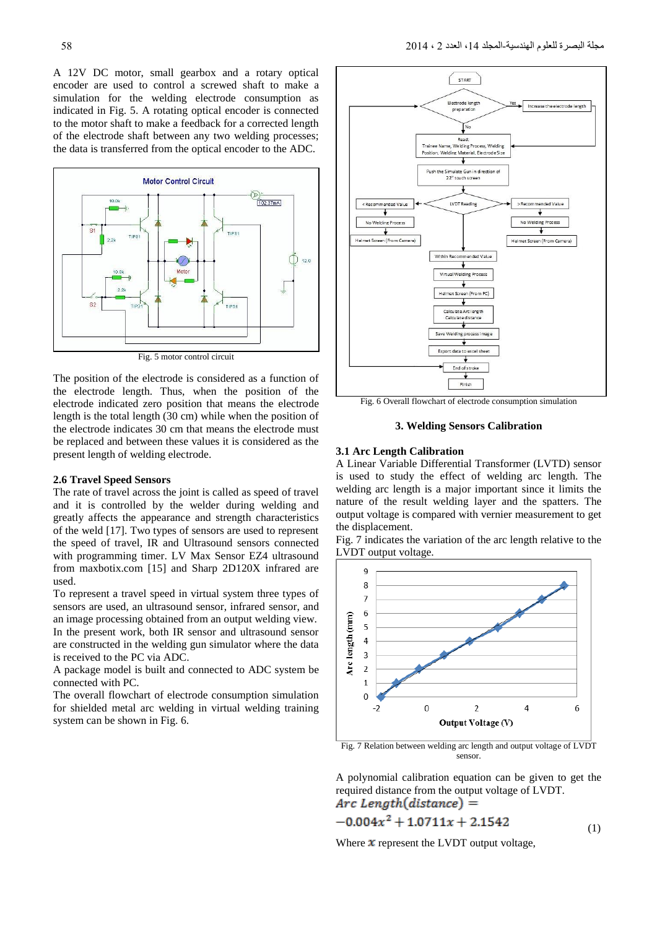A 12V DC motor, small gearbox and a rotary optical encoder are used to control a screwed shaft to make a simulation for the welding electrode consumption as indicated in Fig. 5. A rotating optical encoder is connected to the motor shaft to make a feedback for a corrected length of the electrode shaft between any two welding processes; the data is transferred from the optical encoder to the ADC.



Fig. 5 motor control circuit

The position of the electrode is considered as a function of the electrode length. Thus, when the position of the electrode indicated zero position that means the electrode length is the total length (30 cm) while when the position of the electrode indicates 30 cm that means the electrode must be replaced and between these values it is considered as the present length of welding electrode.

## **2.6 Travel Speed Sensors**

The rate of travel across the joint is called as speed of travel and it is controlled by the welder during welding and greatly affects the appearance and strength characteristics of the weld [17]. Two types of sensors are used to represent the speed of travel, IR and Ultrasound sensors connected with programming timer. LV Max Sensor EZ4 ultrasound from maxbotix.com [15] and Sharp 2D120X infrared are used.

To represent a travel speed in virtual system three types of sensors are used, an ultrasound sensor, infrared sensor, and an image processing obtained from an output welding view. In the present work, both IR sensor and ultrasound sensor are constructed in the welding gun simulator where the data is received to the PC via ADC.

A package model is built and connected to ADC system be connected with PC.

The overall flowchart of electrode consumption simulation for shielded metal arc welding in virtual welding training system can be shown in Fig. 6.



Fig. 6 Overall flowchart of electrode consumption simulation

**3. Welding Sensors Calibration**

# **3.1 Arc Length Calibration**

A Linear Variable Differential Transformer (LVTD) sensor is used to study the effect of welding arc length. The welding arc length is a major important since it limits the nature of the result welding layer and the spatters. The output voltage is compared with vernier measurement to get the displacement.

Fig. 7 indicates the variation of the arc length relative to the LVDT output voltage.



Fig. 7 Relation between welding arc length and output voltage of LVDT sensor.

A polynomial calibration equation can be given to get the required distance from the output voltage of LVDT.  $Arc Length(distance) =$ 

$$
-0.004x^2 + 1.0711x + 2.1542 \tag{1}
$$

Where  $x$  represent the LVDT output voltage,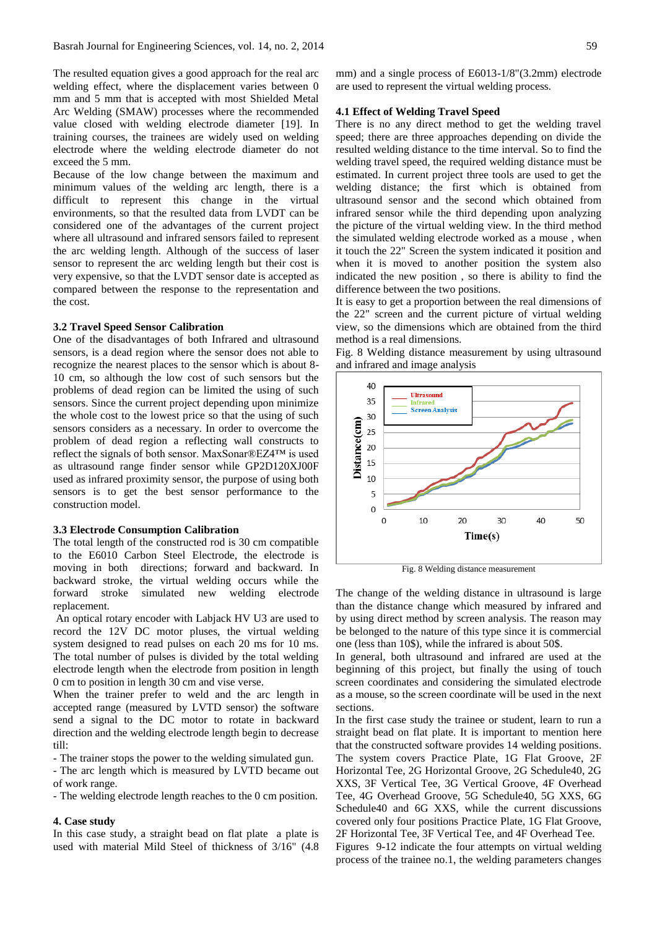The resulted equation gives a good approach for the real arc welding effect, where the displacement varies between 0 mm and 5 mm that is accepted with most Shielded Metal Arc Welding (SMAW) processes where the recommended value closed with welding electrode diameter [19]. In training courses, the trainees are widely used on welding electrode where the welding electrode diameter do not exceed the 5 mm.

Because of the low change between the maximum and minimum values of the welding arc length, there is a difficult to represent this change in the virtual environments, so that the resulted data from LVDT can be considered one of the advantages of the current project where all ultrasound and infrared sensors failed to represent the arc welding length. Although of the success of laser sensor to represent the arc welding length but their cost is very expensive, so that the LVDT sensor date is accepted as compared between the response to the representation and the cost.

## **3.2 Travel Speed Sensor Calibration**

One of the disadvantages of both Infrared and ultrasound sensors, is a dead region where the sensor does not able to recognize the nearest places to the sensor which is about 8- 10 cm, so although the low cost of such sensors but the problems of dead region can be limited the using of such sensors. Since the current project depending upon minimize the whole cost to the lowest price so that the using of such sensors considers as a necessary. In order to overcome the problem of dead region a reflecting wall constructs to reflect the signals of both sensor. MaxSonar®EZ4™ is used as ultrasound range finder sensor while GP2D120XJ00F used as infrared proximity sensor, the purpose of using both sensors is to get the best sensor performance to the construction model.

# **3.3 Electrode Consumption Calibration**

The total length of the constructed rod is 30 cm compatible to the E6010 Carbon Steel Electrode, the electrode is moving in both directions; forward and backward. In backward stroke, the virtual welding occurs while the forward stroke simulated new welding electrode replacement.

An optical rotary encoder with Labjack HV U3 are used to record the 12V DC motor pluses, the virtual welding system designed to read pulses on each 20 ms for 10 ms. The total number of pulses is divided by the total welding electrode length when the electrode from position in length 0 cm to position in length 30 cm and vise verse.

When the trainer prefer to weld and the arc length in accepted range (measured by LVTD sensor) the software send a signal to the DC motor to rotate in backward direction and the welding electrode length begin to decrease till:

- The trainer stops the power to the welding simulated gun.

- The arc length which is measured by LVTD became out of work range.

- The welding electrode length reaches to the 0 cm position.

#### **4. Case study**

In this case study, a straight bead on flat plate a plate is used with material Mild Steel of thickness of 3/16" (4.8 mm) and a single process of E6013-1/8"(3.2mm) electrode are used to represent the virtual welding process.

## **4.1 Effect of Welding Travel Speed**

There is no any direct method to get the welding travel speed; there are three approaches depending on divide the resulted welding distance to the time interval. So to find the welding travel speed, the required welding distance must be estimated. In current project three tools are used to get the welding distance; the first which is obtained from ultrasound sensor and the second which obtained from infrared sensor while the third depending upon analyzing the picture of the virtual welding view. In the third method the simulated welding electrode worked as a mouse , when it touch the 22" Screen the system indicated it position and when it is moved to another position the system also indicated the new position , so there is ability to find the difference between the two positions.

It is easy to get a proportion between the real dimensions of the 22" screen and the current picture of virtual welding view, so the dimensions which are obtained from the third method is a real dimensions.

Fig. 8 Welding distance measurement by using ultrasound and infrared and image analysis



Fig. 8 Welding distance measurement

The change of the welding distance in ultrasound is large than the distance change which measured by infrared and by using direct method by screen analysis. The reason may be belonged to the nature of this type since it is commercial one (less than 10\$), while the infrared is about 50\$.

In general, both ultrasound and infrared are used at the beginning of this project, but finally the using of touch screen coordinates and considering the simulated electrode as a mouse, so the screen coordinate will be used in the next sections.

In the first case study the trainee or student, learn to run a straight bead on flat plate. It is important to mention here that the constructed software provides 14 welding positions. The system covers Practice Plate, 1G Flat Groove, 2F Horizontal Tee, 2G Horizontal Groove, 2G Schedule40, 2G XXS, 3F Vertical Tee, 3G Vertical Groove, 4F Overhead Tee, 4G Overhead Groove, 5G Schedule40, 5G XXS, 6G Schedule40 and 6G XXS, while the current discussions covered only four positions Practice Plate, 1G Flat Groove, 2F Horizontal Tee, 3F Vertical Tee, and 4F Overhead Tee.

Figures 9-12 indicate the four attempts on virtual welding process of the trainee no.1, the welding parameters changes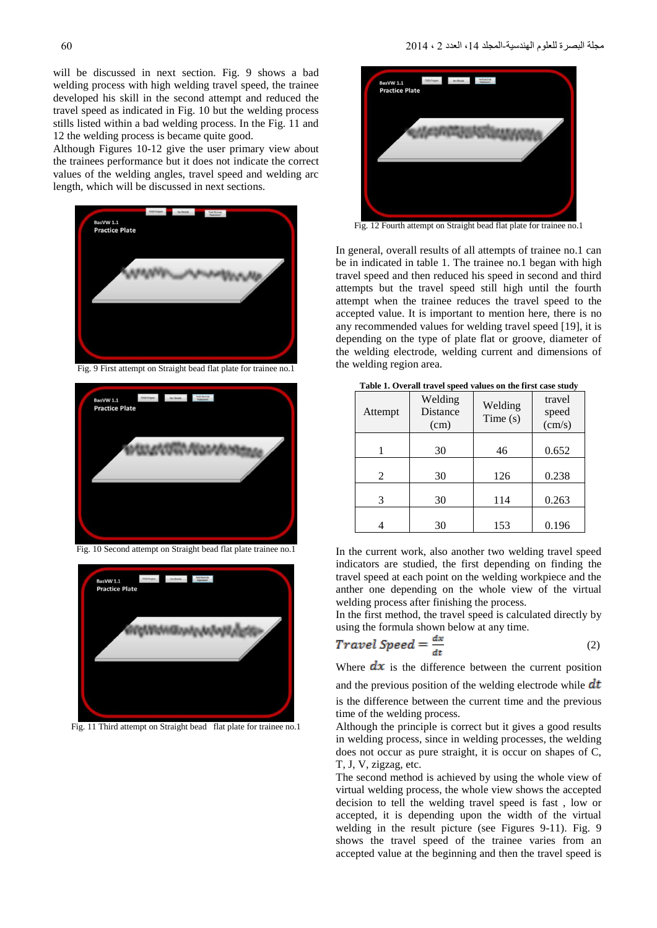will be discussed in next section. Fig. 9 shows a bad welding process with high welding travel speed, the trainee developed his skill in the second attempt and reduced the travel speed as indicated in Fig. 10 but the welding process stills listed within a bad welding process. In the Fig. 11 and 12 the welding process is became quite good.

Although Figures 10-12 give the user primary view about the trainees performance but it does not indicate the correct values of the welding angles, travel speed and welding arc length, which will be discussed in next sections.



Fig. 9 First attempt on Straight bead flat plate for trainee no.1



Fig. 10 Second attempt on Straight bead flat plate trainee no.1



Fig. 11 Third attempt on Straight bead flat plate for trainee no.1



Fig. 12 Fourth attempt on Straight bead flat plate for trainee no.1

In general, overall results of all attempts of trainee no.1 can be in indicated in table 1. The trainee no.1 began with high travel speed and then reduced his speed in second and third attempts but the travel speed still high until the fourth attempt when the trainee reduces the travel speed to the accepted value. It is important to mention here, there is no any recommended values for welding travel speed [19], it is depending on the type of plate flat or groove, diameter of the welding electrode, welding current and dimensions of the welding region area.

| Attempt | Welding<br><b>Distance</b><br>(cm) | Welding<br>Time(s) | travel<br>speed<br>(cm/s) |
|---------|------------------------------------|--------------------|---------------------------|
|         | 30                                 | 46                 | 0.652                     |
| 2       | 30                                 | 126                | 0.238                     |
| 3       | 30                                 | 114                | 0.263                     |
|         | 30                                 | 153                | 0.196                     |

**Table 1. Overall travel speed values on the first case study**

In the current work, also another two welding travel speed indicators are studied, the first depending on finding the travel speed at each point on the welding workpiece and the anther one depending on the whole view of the virtual welding process after finishing the process.

In the first method, the travel speed is calculated directly by using the formula shown below at any time.

$$
Travel Speed = \frac{ax}{dt} \tag{2}
$$

Where  $\frac{dx}{dx}$  is the difference between the current position

and the previous position of the welding electrode while  $dt$ is the difference between the current time and the previous time of the welding process.

Although the principle is correct but it gives a good results in welding process, since in welding processes, the welding does not occur as pure straight, it is occur on shapes of C, T, J, V, zigzag, etc.

The second method is achieved by using the whole view of virtual welding process, the whole view shows the accepted decision to tell the welding travel speed is fast , low or accepted, it is depending upon the width of the virtual welding in the result picture (see Figures 9-11). Fig. 9 shows the travel speed of the trainee varies from an accepted value at the beginning and then the travel speed is